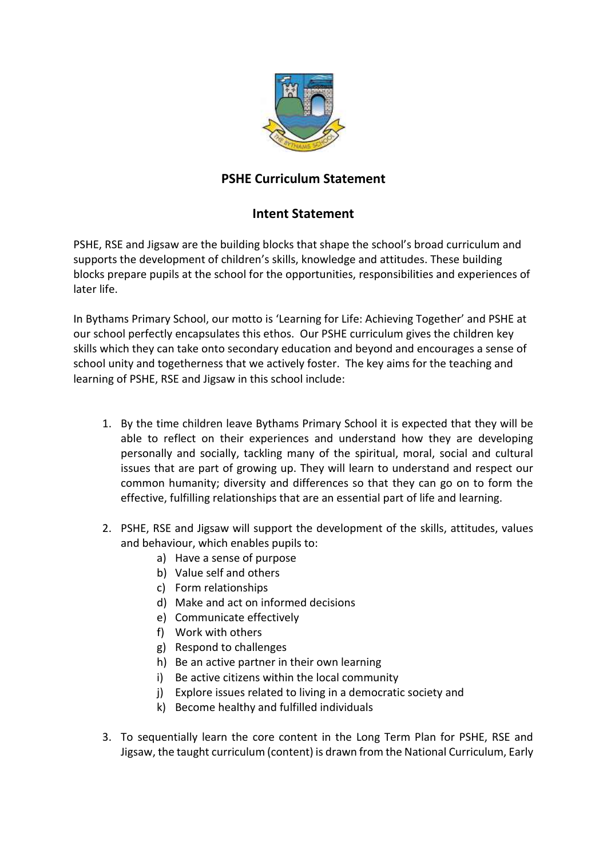

## **PSHE Curriculum Statement**

## **Intent Statement**

PSHE, RSE and Jigsaw are the building blocks that shape the school's broad curriculum and supports the development of children's skills, knowledge and attitudes. These building blocks prepare pupils at the school for the opportunities, responsibilities and experiences of later life.

In Bythams Primary School, our motto is 'Learning for Life: Achieving Together' and PSHE at our school perfectly encapsulates this ethos. Our PSHE curriculum gives the children key skills which they can take onto secondary education and beyond and encourages a sense of school unity and togetherness that we actively foster. The key aims for the teaching and learning of PSHE, RSE and Jigsaw in this school include:

- 1. By the time children leave Bythams Primary School it is expected that they will be able to reflect on their experiences and understand how they are developing personally and socially, tackling many of the spiritual, moral, social and cultural issues that are part of growing up. They will learn to understand and respect our common humanity; diversity and differences so that they can go on to form the effective, fulfilling relationships that are an essential part of life and learning.
- 2. PSHE, RSE and Jigsaw will support the development of the skills, attitudes, values and behaviour, which enables pupils to:
	- a) Have a sense of purpose
	- b) Value self and others
	- c) Form relationships
	- d) Make and act on informed decisions
	- e) Communicate effectively
	- f) Work with others
	- g) Respond to challenges
	- h) Be an active partner in their own learning
	- i) Be active citizens within the local community
	- j) Explore issues related to living in a democratic society and
	- k) Become healthy and fulfilled individuals
- 3. To sequentially learn the core content in the Long Term Plan for PSHE, RSE and Jigsaw, the taught curriculum (content) is drawn from the National Curriculum, Early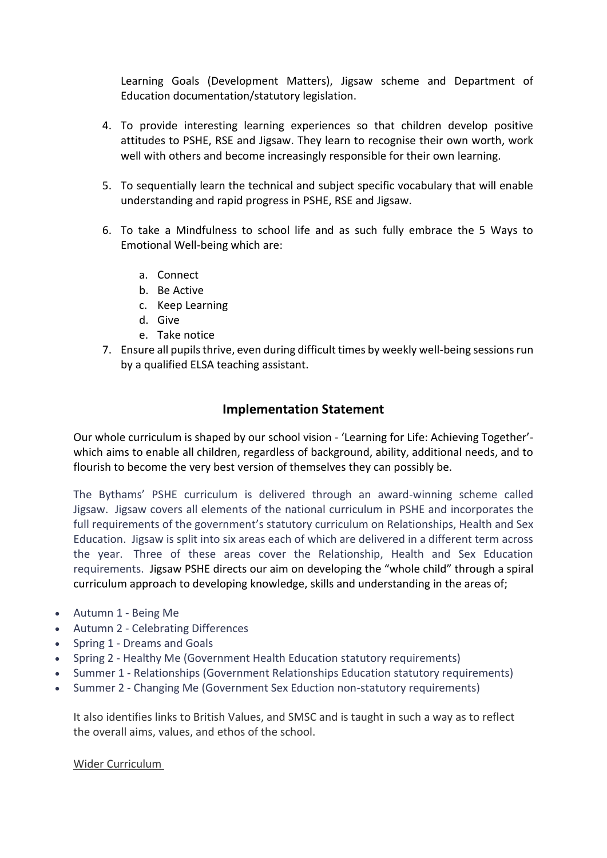Learning Goals (Development Matters), Jigsaw scheme and Department of Education documentation/statutory legislation.

- 4. To provide interesting learning experiences so that children develop positive attitudes to PSHE, RSE and Jigsaw. They learn to recognise their own worth, work well with others and become increasingly responsible for their own learning.
- 5. To sequentially learn the technical and subject specific vocabulary that will enable understanding and rapid progress in PSHE, RSE and Jigsaw.
- 6. To take a Mindfulness to school life and as such fully embrace the 5 Ways to Emotional Well-being which are:
	- a. Connect
	- b. Be Active
	- c. Keep Learning
	- d. Give
	- e. Take notice
- 7. Ensure all pupils thrive, even during difficult times by weekly well-being sessions run by a qualified ELSA teaching assistant.

## **Implementation Statement**

Our whole curriculum is shaped by our school vision - 'Learning for Life: Achieving Together' which aims to enable all children, regardless of background, ability, additional needs, and to flourish to become the very best version of themselves they can possibly be.

The Bythams' PSHE curriculum is delivered through an award-winning scheme called Jigsaw. Jigsaw covers all elements of the national curriculum in PSHE and incorporates the full requirements of the government's statutory curriculum on Relationships, Health and Sex Education. Jigsaw is split into six areas each of which are delivered in a different term across the year. Three of these areas cover the Relationship, Health and Sex Education requirements. Jigsaw PSHE directs our aim on developing the "whole child" through a spiral curriculum approach to developing knowledge, skills and understanding in the areas of;

- Autumn 1 Being Me
- Autumn 2 Celebrating Differences
- Spring 1 Dreams and Goals
- Spring 2 Healthy Me (Government Health Education statutory requirements)
- Summer 1 Relationships (Government Relationships Education statutory requirements)
- Summer 2 Changing Me (Government Sex Eduction non-statutory requirements)

It also identifies links to British Values, and SMSC and is taught in such a way as to reflect the overall aims, values, and ethos of the school.

Wider Curriculum